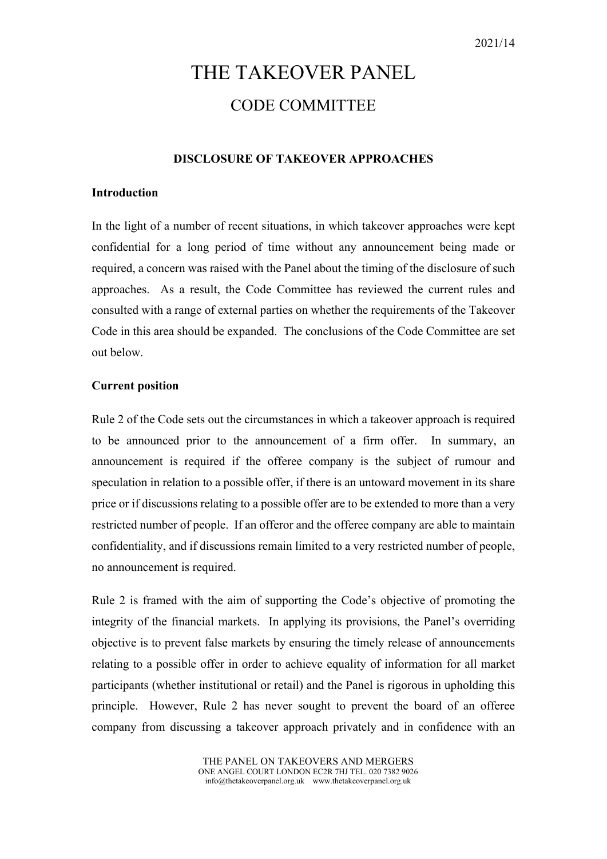# THE TAKEOVER PANEL CODE COMMITTEE

# **DISCLOSURE OF TAKEOVER APPROACHES**

# **Introduction**

In the light of a number of recent situations, in which takeover approaches were kept confidential for a long period of time without any announcement being made or required, a concern was raised with the Panel about the timing of the disclosure of such approaches. As a result, the Code Committee has reviewed the current rules and consulted with a range of external parties on whether the requirements of the Takeover Code in this area should be expanded. The conclusions of the Code Committee are set out below.

#### **Current position**

Rule 2 of the Code sets out the circumstances in which a takeover approach is required to be announced prior to the announcement of a firm offer. In summary, an announcement is required if the offeree company is the subject of rumour and speculation in relation to a possible offer, if there is an untoward movement in its share price or if discussions relating to a possible offer are to be extended to more than a very restricted number of people. If an offeror and the offeree company are able to maintain confidentiality, and if discussions remain limited to a very restricted number of people, no announcement is required.

Rule 2 is framed with the aim of supporting the Code's objective of promoting the integrity of the financial markets. In applying its provisions, the Panel's overriding objective is to prevent false markets by ensuring the timely release of announcements relating to a possible offer in order to achieve equality of information for all market participants (whether institutional or retail) and the Panel is rigorous in upholding this principle. However, Rule 2 has never sought to prevent the board of an offeree company from discussing a takeover approach privately and in confidence with an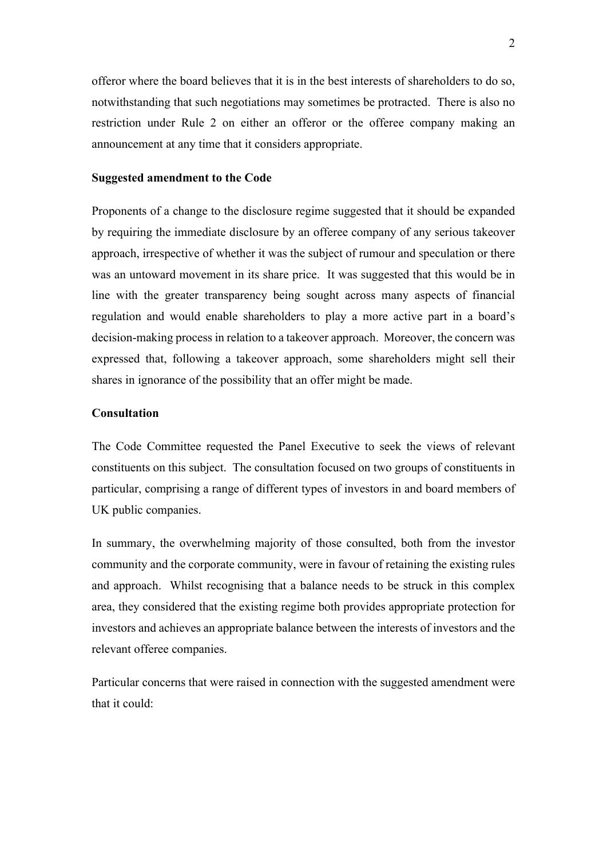offeror where the board believes that it is in the best interests of shareholders to do so, notwithstanding that such negotiations may sometimes be protracted. There is also no restriction under Rule 2 on either an offeror or the offeree company making an announcement at any time that it considers appropriate.

# **Suggested amendment to the Code**

Proponents of a change to the disclosure regime suggested that it should be expanded by requiring the immediate disclosure by an offeree company of any serious takeover approach, irrespective of whether it was the subject of rumour and speculation or there was an untoward movement in its share price. It was suggested that this would be in line with the greater transparency being sought across many aspects of financial regulation and would enable shareholders to play a more active part in a board's decision-making process in relation to a takeover approach. Moreover, the concern was expressed that, following a takeover approach, some shareholders might sell their shares in ignorance of the possibility that an offer might be made.

# **Consultation**

The Code Committee requested the Panel Executive to seek the views of relevant constituents on this subject. The consultation focused on two groups of constituents in particular, comprising a range of different types of investors in and board members of UK public companies.

In summary, the overwhelming majority of those consulted, both from the investor community and the corporate community, were in favour of retaining the existing rules and approach. Whilst recognising that a balance needs to be struck in this complex area, they considered that the existing regime both provides appropriate protection for investors and achieves an appropriate balance between the interests of investors and the relevant offeree companies.

Particular concerns that were raised in connection with the suggested amendment were that it could: